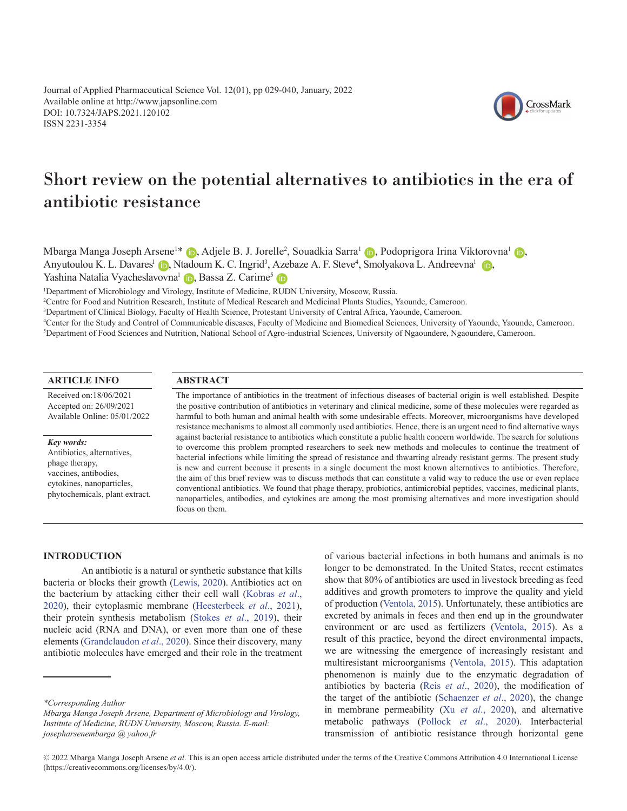Journal of Applied Pharmaceutical Science Vol. 12(01), pp 029-040, January, 2022 Available online at http://www.japsonline.com DOI: 10.7324/JAPS.2021.120102 ISSN 2231-3354



# Short review on the potential alternatives to antibiotics in the era of antibiotic resistance

Mbarga Manga Joseph Arsene<sup>1\*</sup> (D[,](https://orcid.org/0000-00034099-2967) Adjele B. J. Jorelle<sup>2</sup>, Souadkia Sarra<sup>1</sup> (D, Podoprigora Irina Viktorovna<sup>1</sup> (D, Anyutoulou K. L. Davares<sup>1</sup> (D)[,](https://orcid.org/0000-0002-7103-8386) Ntadoum K. C. Ingrid<sup>3</sup>, Azebaze A. F. Steve<sup>4</sup>, Smolyakova L. Andreevna<sup>1</sup> (D), Yashina Natalia Vyacheslavovna<sup>1</sup> D[,](https://orcid.org/0000-0003-1372-5257) Bassa Z. Carime<sup>5</sup> D

1 Department of Microbiology and Virology, Institute of Medicine, RUDN University, Moscow, Russia.

2 Centre for Food and Nutrition Research, Institute of Medical Research and Medicinal Plants Studies, Yaounde, Cameroon.

3 Department of Clinical Biology, Faculty of Health Science, Protestant University of Central Africa, Yaounde, Cameroon.

4 Center for the Study and Control of Communicable diseases, Faculty of Medicine and Biomedical Sciences, University of Yaounde, Yaounde, Cameroon. 5 Department of Food Sciences and Nutrition, National School of Agro-industrial Sciences, University of Ngaoundere, Ngaoundere, Cameroon.

# **ARTICLE INFO**

Received on:18/06/2021 Accepted on: 26/09/2021 Available Online: 05/01/2022

#### *Key words:*

Antibiotics, alternatives, phage therapy, vaccines, antibodies, cytokines, nanoparticles, phytochemicals, plant extract.

#### **ABSTRACT**

The importance of antibiotics in the treatment of infectious diseases of bacterial origin is well established. Despite the positive contribution of antibiotics in veterinary and clinical medicine, some of these molecules were regarded as harmful to both human and animal health with some undesirable effects. Moreover, microorganisms have developed resistance mechanisms to almost all commonly used antibiotics. Hence, there is an urgent need to find alternative ways against bacterial resistance to antibiotics which constitute a public health concern worldwide. The search for solutions to overcome this problem prompted researchers to seek new methods and molecules to continue the treatment of bacterial infections while limiting the spread of resistance and thwarting already resistant germs. The present study is new and current because it presents in a single document the most known alternatives to antibiotics. Therefore, the aim of this brief review was to discuss methods that can constitute a valid way to reduce the use or even replace conventional antibiotics. We found that phage therapy, probiotics, antimicrobial peptides, vaccines, medicinal plants, nanoparticles, antibodies, and cytokines are among the most promising alternatives and more investigation should focus on them.

# **INTRODUCTION**

An antibiotic is a natural or synthetic substance that kills bacteria or blocks their growth [\(Lewis, 2020](#page-9-0)). Antibiotics act on the bacterium by attacking either their cell wall ([Kobras](#page-9-0) *et al*., [2020\)](#page-9-0), their cytoplasmic membrane [\(Heesterbeek](#page-9-0) *et al*., 2021), their protein synthesis metabolism (Stokes *et al*[., 2019](#page-11-0)), their nucleic acid (RNA and DNA), or even more than one of these elements [\(Grandclaudon](#page-9-0) *et al*., 2020). Since their discovery, many antibiotic molecules have emerged and their role in the treatment

of various bacterial infections in both humans and animals is no longer to be demonstrated. In the United States, recent estimates show that 80% of antibiotics are used in livestock breeding as feed additives and growth promoters to improve the quality and yield of production [\(Ventola, 2015\)](#page-11-0). Unfortunately, these antibiotics are excreted by animals in feces and then end up in the groundwater environment or are used as fertilizers ([Ventola, 2015\)](#page-11-0). As a result of this practice, beyond the direct environmental impacts, we are witnessing the emergence of increasingly resistant and multiresistant microorganisms ([Ventola, 2015](#page-11-0)). This adaptation phenomenon is mainly due to the enzymatic degradation of antibiotics by bacteria (Reis *et al*[., 2020](#page-10-0)), the modification of the target of the antibiotic [\(Schaenzer](#page-10-0) *et al*., 2020), the change in membrane permeability (Xu *et al*[., 2020\)](#page-11-0), and alternative metabolic pathways (Pollock *et al*[., 2020](#page-10-0)). Interbacterial transmission of antibiotic resistance through horizontal gene

*<sup>\*</sup>Corresponding Author*

*Mbarga Manga Joseph Arsene, Department of Microbiology and Virology, Institute of Medicine, RUDN University, Moscow, Russia. E-mail: josepharsenembarga @ yahoo.fr*

<sup>© 2022</sup> Mbarga Manga Joseph Arsene *et al*. This is an open access article distributed under the terms of the Creative Commons Attribution 4.0 International License (https://creativecommons.org/licenses/by/4.0/).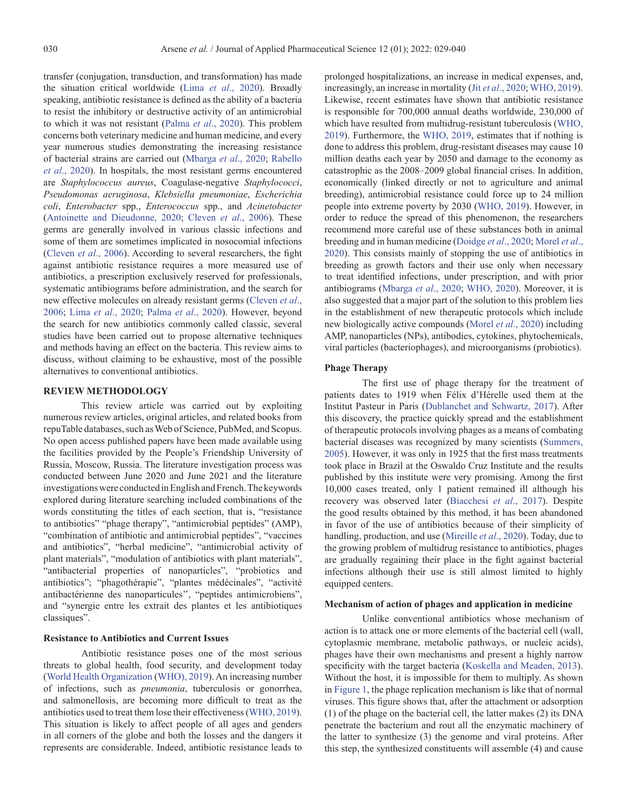transfer (conjugation, transduction, and transformation) has made the situation critical worldwide (Lima *et al*[., 2020](#page-10-0)). Broadly speaking, antibiotic resistance is defined as the ability of a bacteria to resist the inhibitory or destructive activity of an antimicrobial to which it was not resistant (Palma *et al*[., 2020\)](#page-10-0). This problem concerns both veterinary medicine and human medicine, and every year numerous studies demonstrating the increasing resistance of bacterial strains are carried out ([Mbarga](#page-10-0) *et al*., 2020; [Rabello](#page-10-0) *et al*[., 2020\)](#page-10-0). In hospitals, the most resistant germs encountered are *Staphylococcus aureus*, Coagulase-negative *Staphylococci*, *Pseudomonas aeruginosa*, *Klebsiella pneumoniae*, *Escherichia coli*, *Enterobacter* spp., *Enterococcus* spp., and *Acinetobacter*  ([Antoinette and Dieudonne, 2020;](#page-8-0) [Cleven](#page-9-0) *et al*., 2006). These germs are generally involved in various classic infections and some of them are sometimes implicated in nosocomial infections ([Cleven](#page-9-0) *et al*., 2006). According to several researchers, the fight against antibiotic resistance requires a more measured use of antibiotics, a prescription exclusively reserved for professionals, systematic antibiograms before administration, and the search for new effective molecules on already resistant germs ([Cleven](#page-9-0) *et al*., [2006;](#page-9-0) Lima *et al*[., 2020](#page-10-0); Palma *et al*[., 2020\)](#page-10-0). However, beyond the search for new antibiotics commonly called classic, several studies have been carried out to propose alternative techniques and methods having an effect on the bacteria. This review aims to discuss, without claiming to be exhaustive, most of the possible alternatives to conventional antibiotics.

#### **REVIEW METHODOLOGY**

This review article was carried out by exploiting numerous review articles, original articles, and related books from repuTable databases, such as Web of Science, PubMed, and Scopus. No open access published papers have been made available using the facilities provided by the People's Friendship University of Russia, Moscow, Russia. The literature investigation process was conducted between June 2020 and June 2021 and the literature investigations were conducted in English and French. The keywords explored during literature searching included combinations of the words constituting the titles of each section, that is, "resistance to antibiotics" "phage therapy", "antimicrobial peptides" (AMP), "combination of antibiotic and antimicrobial peptides", "vaccines and antibiotics", "herbal medicine", "antimicrobial activity of plant materials", "modulation of antibiotics with plant materials", "antibacterial properties of nanoparticles", "probiotics and antibiotics"; "phagothérapie", "plantes médécinales", "activité antibactérienne des nanoparticules'', "peptides antimicrobiens", and "synergie entre les extrait des plantes et les antibiotiques classiques".

#### **Resistance to Antibiotics and Current Issues**

Antibiotic resistance poses one of the most serious threats to global health, food security, and development today ([World Health Organization \(WHO\), 2019\)](#page-11-0). An increasing number of infections, such as *pneumonia*, tuberculosis or gonorrhea, and salmonellosis, are becoming more difficult to treat as the antibiotics used to treat them lose their effectiveness [\(WHO, 2019](#page-11-0)). This situation is likely to affect people of all ages and genders in all corners of the globe and both the losses and the dangers it represents are considerable. Indeed, antibiotic resistance leads to

prolonged hospitalizations, an increase in medical expenses, and, increasingly, an increase in mortality (Jit *et al*[., 2020](#page-9-0); [WHO, 2019\)](#page-11-0). Likewise, recent estimates have shown that antibiotic resistance is responsible for 700,000 annual deaths worldwide, 230,000 of which have resulted from multidrug-resistant tuberculosis [\(WHO,](#page-11-0)  [2019](#page-11-0)). Furthermore, the [WHO, 2019](#page-11-0), estimates that if nothing is done to address this problem, drug-resistant diseases may cause 10 million deaths each year by 2050 and damage to the economy as catastrophic as the 2008–2009 global financial crises. In addition, economically (linked directly or not to agriculture and animal breeding), antimicrobial resistance could force up to 24 million people into extreme poverty by 2030 [\(WHO, 2019\)](#page-11-0). However, in order to reduce the spread of this phenomenon, the researchers recommend more careful use of these substances both in animal breeding and in human medicine [\(Doidge](#page-9-0) *et al*., 2020; [Morel](#page-10-0) *et al*., [2020](#page-10-0)). This consists mainly of stopping the use of antibiotics in breeding as growth factors and their use only when necessary to treat identified infections, under prescription, and with prior antibiograms [\(Mbarga](#page-10-0) *et al*., 2020; [WHO, 2020](#page-11-0)). Moreover, it is also suggested that a major part of the solution to this problem lies in the establishment of new therapeutic protocols which include new biologically active compounds (Morel *et al*[., 2020\)](#page-10-0) including AMP, nanoparticles (NPs), antibodies, cytokines, phytochemicals, viral particles (bacteriophages), and microorganisms (probiotics).

#### **Phage Therapy**

The first use of phage therapy for the treatment of patients dates to 1919 when Félix d'Hérelle used them at the Institut Pasteur in Paris ([Dublanchet and Schwartz, 2017\)](#page-9-0). After this discovery, the practice quickly spread and the establishment of therapeutic protocols involving phages as a means of combating bacterial diseases was recognized by many scientists ([Summers,](#page-11-0)  [2005](#page-11-0)). However, it was only in 1925 that the first mass treatments took place in Brazil at the Oswaldo Cruz Institute and the results published by this institute were very promising. Among the first 10,000 cases treated, only 1 patient remained ill although his recovery was observed later ([Biacchesi](#page-8-0) *et al*., 2017). Despite the good results obtained by this method, it has been abandoned in favor of the use of antibiotics because of their simplicity of handling, production, and use [\(Mireille](#page-10-0) *et al*., 2020). Today, due to the growing problem of multidrug resistance to antibiotics, phages are gradually regaining their place in the fight against bacterial infections although their use is still almost limited to highly equipped centers.

# **Mechanism of action of phages and application in medicine**

Unlike conventional antibiotics whose mechanism of action is to attack one or more elements of the bacterial cell (wall, cytoplasmic membrane, metabolic pathways, or nucleic acids), phages have their own mechanisms and present a highly narrow specificity with the target bacteria ([Koskella and Meaden, 2013\)](#page-9-0). Without the host, it is impossible for them to multiply. As shown in [Figure 1,](#page-2-0) the phage replication mechanism is like that of normal viruses. This figure shows that, after the attachment or adsorption (1) of the phage on the bacterial cell, the latter makes (2) its DNA penetrate the bacterium and rout all the enzymatic machinery of the latter to synthesize (3) the genome and viral proteins. After this step, the synthesized constituents will assemble (4) and cause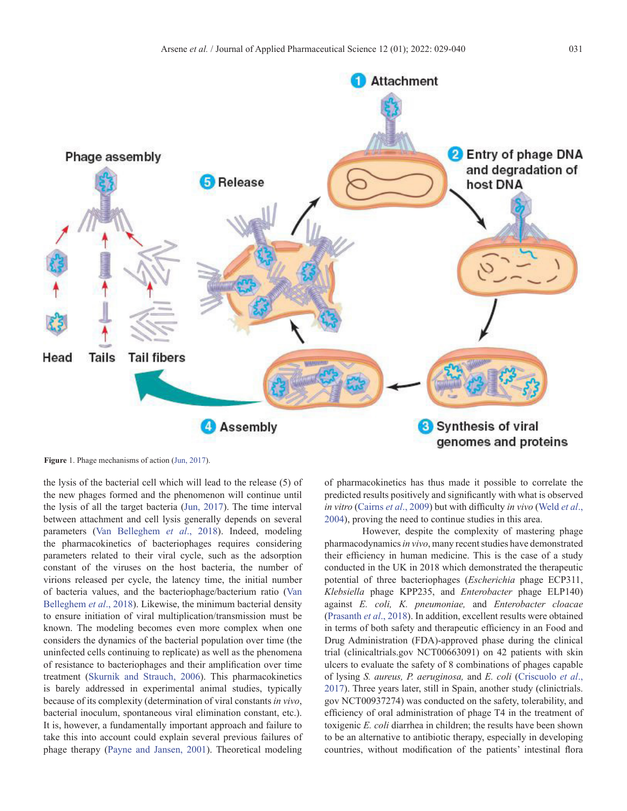<span id="page-2-0"></span>

**Figure** 1. Phage mechanisms of action [\(Jun, 2017\)](#page-9-0).

the lysis of the bacterial cell which will lead to the release (5) of the new phages formed and the phenomenon will continue until the lysis of all the target bacteria ([Jun, 2017](#page-9-0)). The time interval between attachment and cell lysis generally depends on several parameters ([Van Belleghem](#page-11-0) *et al*., 2018). Indeed, modeling the pharmacokinetics of bacteriophages requires considering parameters related to their viral cycle, such as the adsorption constant of the viruses on the host bacteria, the number of virions released per cycle, the latency time, the initial number of bacteria values, and the bacteriophage/bacterium ratio [\(Van](#page-11-0) [Belleghem](#page-11-0) *et al*., 2018). Likewise, the minimum bacterial density to ensure initiation of viral multiplication/transmission must be known. The modeling becomes even more complex when one considers the dynamics of the bacterial population over time (the uninfected cells continuing to replicate) as well as the phenomena of resistance to bacteriophages and their amplification over time treatment ([Skurnik and Strauch, 2006\)](#page-10-0). This pharmacokinetics is barely addressed in experimental animal studies, typically because of its complexity (determination of viral constants *in vivo*, bacterial inoculum, spontaneous viral elimination constant, etc.). It is, however, a fundamentally important approach and failure to take this into account could explain several previous failures of phage therapy [\(Payne and Jansen, 2001\)](#page-10-0). Theoretical modeling

of pharmacokinetics has thus made it possible to correlate the predicted results positively and significantly with what is observed *in vitro* ([Cairns](#page-8-0) *et al*., 2009) but with difficulty *in vivo* [\(Weld](#page-11-0) *et al*., [2004](#page-11-0)), proving the need to continue studies in this area.

However, despite the complexity of mastering phage pharmacodynamics *in vivo*, many recent studies have demonstrated their efficiency in human medicine. This is the case of a study conducted in the UK in 2018 which demonstrated the therapeutic potential of three bacteriophages (*Escherichia* phage ECP311, *Klebsiella* phage KPP235, and *Enterobacter* phage ELP140) against *E. coli, K. pneumoniae,* and *Enterobacter cloacae* [\(Prasanth](#page-10-0) *et al*., 2018). In addition, excellent results were obtained in terms of both safety and therapeutic efficiency in an Food and Drug Administration (FDA)-approved phase during the clinical trial (clinicaltrials.gov NCT00663091) on 42 patients with skin ulcers to evaluate the safety of 8 combinations of phages capable of lysing *S. aureus, P. aeruginosa,* and *E. coli* [\(Criscuolo](#page-9-0) *et al*., [2017](#page-9-0)). Three years later, still in Spain, another study (clinictrials. gov NCT00937274) was conducted on the safety, tolerability, and efficiency of oral administration of phage T4 in the treatment of toxigenic *E. coli* diarrhea in children; the results have been shown to be an alternative to antibiotic therapy, especially in developing countries, without modification of the patients' intestinal flora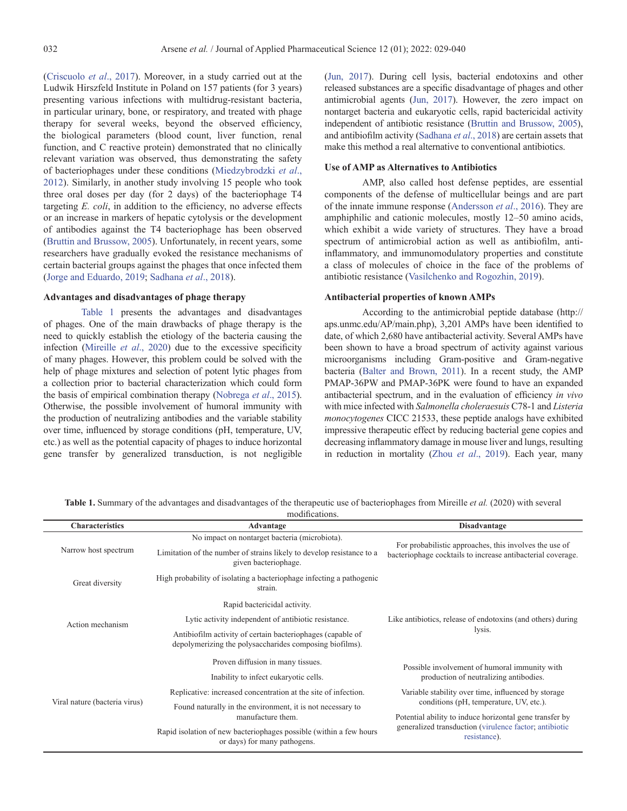<span id="page-3-0"></span>([Criscuolo](#page-9-0) *et al*., 2017). Moreover, in a study carried out at the Ludwik Hirszfeld Institute in Poland on 157 patients (for 3 years) presenting various infections with multidrug-resistant bacteria, in particular urinary, bone, or respiratory, and treated with phage therapy for several weeks, beyond the observed efficiency, the biological parameters (blood count, liver function, renal function, and C reactive protein) demonstrated that no clinically relevant variation was observed, thus demonstrating the safety of bacteriophages under these conditions [\(Miedzybrodzki](#page-10-0) *et al*., [2012\)](#page-10-0). Similarly, in another study involving 15 people who took three oral doses per day (for 2 days) of the bacteriophage T4 targeting *E. coli*, in addition to the efficiency, no adverse effects or an increase in markers of hepatic cytolysis or the development of antibodies against the T4 bacteriophage has been observed ([Bruttin and Brussow, 2005](#page-8-0)). Unfortunately, in recent years, some researchers have gradually evoked the resistance mechanisms of certain bacterial groups against the phages that once infected them ([Jorge and Eduardo, 2019;](#page-9-0) [Sadhana](#page-10-0) *et al*., 2018).

# **Advantages and disadvantages of phage therapy**

Table 1 presents the advantages and disadvantages of phages. One of the main drawbacks of phage therapy is the need to quickly establish the etiology of the bacteria causing the infection [\(Mireille](#page-10-0) *et al*., 2020) due to the excessive specificity of many phages. However, this problem could be solved with the help of phage mixtures and selection of potent lytic phages from a collection prior to bacterial characterization which could form the basis of empirical combination therapy [\(Nobrega](#page-10-0) *et al*., 2015). Otherwise, the possible involvement of humoral immunity with the production of neutralizing antibodies and the variable stability over time, influenced by storage conditions (pH, temperature, UV, etc.) as well as the potential capacity of phages to induce horizontal gene transfer by generalized transduction, is not negligible

[\(Jun, 2017\)](#page-9-0). During cell lysis, bacterial endotoxins and other released substances are a specific disadvantage of phages and other antimicrobial agents [\(Jun, 2017\)](#page-9-0). However, the zero impact on nontarget bacteria and eukaryotic cells, rapid bactericidal activity independent of antibiotic resistance [\(Bruttin and Brussow, 2005\)](#page-8-0), and antibiofilm activity ([Sadhana](#page-10-0) *et al*., 2018) are certain assets that make this method a real alternative to conventional antibiotics.

### **Use of AMP as Alternatives to Antibiotics**

AMP, also called host defense peptides, are essential components of the defense of multicellular beings and are part of the innate immune response ([Andersson](#page-8-0) *et al*., 2016). They are amphiphilic and cationic molecules, mostly 12–50 amino acids, which exhibit a wide variety of structures. They have a broad spectrum of antimicrobial action as well as antibiofilm, antiinflammatory, and immunomodulatory properties and constitute a class of molecules of choice in the face of the problems of antibiotic resistance [\(Vasilchenko and Rogozhin, 2019](#page-11-0)).

### **Antibacterial properties of known AMPs**

According to the antimicrobial peptide database (http:// aps.unmc.edu/AP/main.php), 3,201 AMPs have been identified to date, of which 2,680 have antibacterial activity. Several AMPs have been shown to have a broad spectrum of activity against various microorganisms including Gram-positive and Gram-negative bacteria (Balter and Brown, 2011). In a recent study, the AMP PMAP-36PW and PMAP-36PK were found to have an expanded antibacterial spectrum, and in the evaluation of efficiency *in vivo* with mice infected with *Salmonella choleraesuis* C78-1 and *Listeria monocytogenes* CICC 21533, these peptide analogs have exhibited impressive therapeutic effect by reducing bacterial gene copies and decreasing inflammatory damage in mouse liver and lungs, resulting in reduction in mortality (Zhou *et al*[., 2019\)](#page-11-0). Each year, many

**Table 1.** Summary of the advantages and disadvantages of the therapeutic use of bacteriophages from Mireille *et al.* (2020) with several modifications.

| <b>Characteristics</b>        | Advantage                                                                                                             | <b>Disadvantage</b>                                                                            |  |  |
|-------------------------------|-----------------------------------------------------------------------------------------------------------------------|------------------------------------------------------------------------------------------------|--|--|
| Narrow host spectrum          | No impact on nontarget bacteria (microbiota).                                                                         | For probabilistic approaches, this involves the use of                                         |  |  |
|                               | Limitation of the number of strains likely to develop resistance to a<br>given bacteriophage.                         | bacteriophage cocktails to increase antibacterial coverage.                                    |  |  |
| Great diversity               | High probability of isolating a bacteriophage infecting a pathogenic<br>strain.                                       |                                                                                                |  |  |
| Action mechanism              | Rapid bactericidal activity.                                                                                          |                                                                                                |  |  |
|                               | Lytic activity independent of antibiotic resistance.                                                                  | Like antibiotics, release of endotoxins (and others) during                                    |  |  |
|                               | Antibiofilm activity of certain bacteriophages (capable of<br>depolymerizing the polysaccharides composing biofilms). | lysis.                                                                                         |  |  |
| Viral nature (bacteria virus) | Proven diffusion in many tissues.                                                                                     | Possible involvement of humoral immunity with                                                  |  |  |
|                               | Inability to infect eukaryotic cells.                                                                                 | production of neutralizing antibodies.                                                         |  |  |
|                               | Replicative: increased concentration at the site of infection.                                                        | Variable stability over time, influenced by storage<br>conditions (pH, temperature, UV, etc.). |  |  |
|                               | Found naturally in the environment, it is not necessary to                                                            |                                                                                                |  |  |
|                               | manufacture them.                                                                                                     | Potential ability to induce horizontal gene transfer by                                        |  |  |
|                               | Rapid isolation of new bacteriophages possible (within a few hours<br>or days) for many pathogens.                    | generalized transduction (virulence factor; antibiotic<br>resistance).                         |  |  |
|                               |                                                                                                                       |                                                                                                |  |  |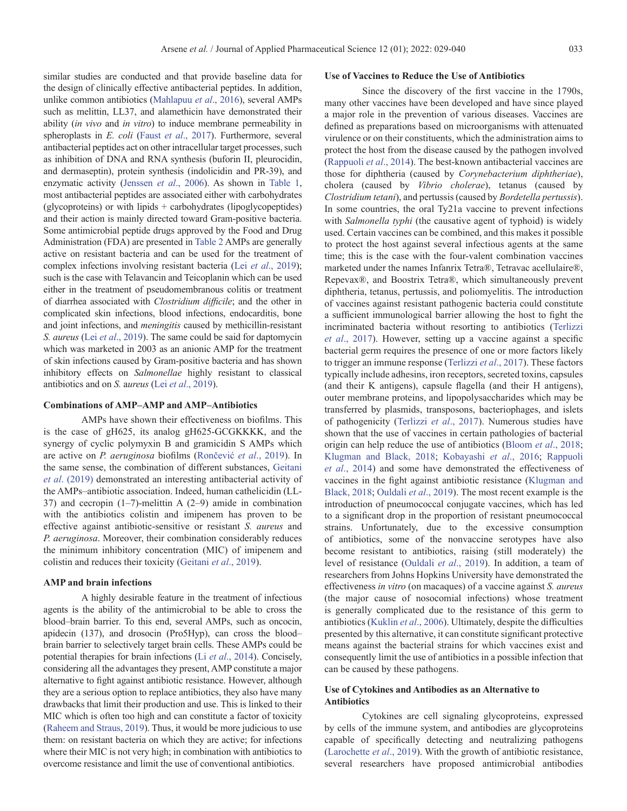similar studies are conducted and that provide baseline data for the design of clinically effective antibacterial peptides. In addition, unlike common antibiotics ([Mahlapuu](#page-10-0) *et al*., 2016), several AMPs such as melittin, LL37, and alamethicin have demonstrated their ability (*in vivo* and *in vitro*) to induce membrane permeability in spheroplasts in *E. coli* (Faust *et al*[., 2017](#page-9-0)). Furthermore, several antibacterial peptides act on other intracellular target processes, such as inhibition of DNA and RNA synthesis (buforin II, pleurocidin, and dermaseptin), protein synthesis (indolicidin and PR-39), and enzymatic activity ([Jenssen](#page-9-0) *et al*., 2006). As shown in [Table 1,](#page-3-0) most antibacterial peptides are associated either with carbohydrates (glycoproteins) or with lipids + carbohydrates (lipoglycopeptides) and their action is mainly directed toward Gram-positive bacteria. Some antimicrobial peptide drugs approved by the Food and Drug Administration (FDA) are presented in [Table 2](#page-6-0) AMPs are generally active on resistant bacteria and can be used for the treatment of complex infections involving resistant bacteria (Lei *et al*[., 2019](#page-9-0)); such is the case with Telavancin and Teicoplanin which can be used either in the treatment of pseudomembranous colitis or treatment of diarrhea associated with *Clostridium difficile*; and the other in complicated skin infections, blood infections, endocarditis, bone and joint infections, and *meningitis* caused by methicillin-resistant *S. aureus* (Lei *et al*[., 2019](#page-9-0)). The same could be said for daptomycin which was marketed in 2003 as an anionic AMP for the treatment of skin infections caused by Gram-positive bacteria and has shown inhibitory effects on *Salmonellae* highly resistant to classical antibiotics and on *S.* a*ureus* (Lei *et al*[., 2019\)](#page-9-0).

# **Combinations of AMP–AMP and AMP–Antibiotics**

AMPs have shown their effectiveness on biofilms. This is the case of gH625, its analog gH625-GCGKKKK, and the synergy of cyclic polymyxin B and gramicidin S AMPs which are active on *P. aeruginosa* biofilms ([Rončević](#page-10-0) *et al*., 2019). In the same sense, the combination of different substances, [Geitani](#page-9-0) *et al*[. \(2019\)](#page-9-0) demonstrated an interesting antibacterial activity of the AMPs–antibiotic association. Indeed, human cathelicidin (LL-37) and cecropin (1–7)-melittin A (2–9) amide in combination with the antibiotics colistin and imipenem has proven to be effective against antibiotic-sensitive or resistant *S. aureus* and *P. aeruginosa*. Moreover, their combination considerably reduces the minimum inhibitory concentration (MIC) of imipenem and colistin and reduces their toxicity [\(Geitani](#page-9-0) *et al*., 2019).

#### **AMP and brain infections**

A highly desirable feature in the treatment of infectious agents is the ability of the antimicrobial to be able to cross the blood–brain barrier. To this end, several AMPs, such as oncocin, apidecin (137), and drosocin (Pro5Hyp), can cross the blood– brain barrier to selectively target brain cells. These AMPs could be potential therapies for brain infections (Li *et al*[., 2014](#page-9-0)). Concisely, considering all the advantages they present, AMP constitute a major alternative to fight against antibiotic resistance. However, although they are a serious option to replace antibiotics, they also have many drawbacks that limit their production and use. This is linked to their MIC which is often too high and can constitute a factor of toxicity ([Raheem and Straus, 2019\)](#page-10-0). Thus, it would be more judicious to use them: on resistant bacteria on which they are active; for infections where their MIC is not very high; in combination with antibiotics to overcome resistance and limit the use of conventional antibiotics.

# **Use of Vaccines to Reduce the Use of Antibiotics**

Since the discovery of the first vaccine in the 1790s, many other vaccines have been developed and have since played a major role in the prevention of various diseases. Vaccines are defined as preparations based on microorganisms with attenuated virulence or on their constituents, which the administration aims to protect the host from the disease caused by the pathogen involved [\(Rappuoli](#page-10-0) *et al*., 2014). The best-known antibacterial vaccines are those for diphtheria (caused by *Corynebacterium diphtheriae*), cholera (caused by *Vibrio cholerae*), tetanus (caused by *Clostridium tetani*), and pertussis (caused by *Bordetella pertussis*). In some countries, the oral Ty21a vaccine to prevent infections with *Salmonella typhi* (the causative agent of typhoid) is widely used. Certain vaccines can be combined, and this makes it possible to protect the host against several infectious agents at the same time; this is the case with the four-valent combination vaccines marketed under the names Infanrix Tetra®, Tetravac acellulaire®, Repevax®, and Boostrix Tetra®, which simultaneously prevent diphtheria, tetanus, pertussis, and poliomyelitis. The introduction of vaccines against resistant pathogenic bacteria could constitute a sufficient immunological barrier allowing the host to fight the incriminated bacteria without resorting to antibiotics [\(Terlizzi](#page-11-0)  *et al*[., 2017](#page-11-0)). However, setting up a vaccine against a specific bacterial germ requires the presence of one or more factors likely to trigger an immune response [\(Terlizzi](#page-11-0) *et al*., 2017). These factors typically include adhesins, iron receptors, secreted toxins, capsules (and their K antigens), capsule flagella (and their H antigens), outer membrane proteins, and lipopolysaccharides which may be transferred by plasmids, transposons, bacteriophages, and islets of pathogenicity [\(Terlizzi](#page-11-0) *et al*., 2017). Numerous studies have shown that the use of vaccines in certain pathologies of bacterial origin can help reduce the use of antibiotics ([Bloom](#page-8-0) *et al*., 2018; [Klugman and Black, 2018](#page-9-0); [Kobayashi](#page-9-0) *et al*., 2016; [Rappuoli](#page-10-0)  *et al*[., 2014\)](#page-10-0) and some have demonstrated the effectiveness of vaccines in the fight against antibiotic resistance ([Klugman and](#page-9-0)  [Black, 2018](#page-9-0); [Ouldali](#page-10-0) *et al*., 2019). The most recent example is the introduction of pneumococcal conjugate vaccines, which has led to a significant drop in the proportion of resistant pneumococcal strains. Unfortunately, due to the excessive consumption of antibiotics, some of the nonvaccine serotypes have also become resistant to antibiotics, raising (still moderately) the level of resistance [\(Ouldali](#page-10-0) *et al*., 2019). In addition, a team of researchers from Johns Hopkins University have demonstrated the effectiveness *in vitro* (on macaques) of a vaccine against *S. aureus* (the major cause of nosocomial infections) whose treatment is generally complicated due to the resistance of this germ to antibiotics [\(Kuklin](#page-9-0) *et al*., 2006). Ultimately, despite the difficulties presented by this alternative, it can constitute significant protective means against the bacterial strains for which vaccines exist and consequently limit the use of antibiotics in a possible infection that can be caused by these pathogens.

# **Use of Cytokines and Antibodies as an Alternative to Antibiotics**

Cytokines are cell signaling glycoproteins, expressed by cells of the immune system, and antibodies are glycoproteins capable of specifically detecting and neutralizing pathogens [\(Larochette](#page-9-0) *et al*., 2019). With the growth of antibiotic resistance, several researchers have proposed antimicrobial antibodies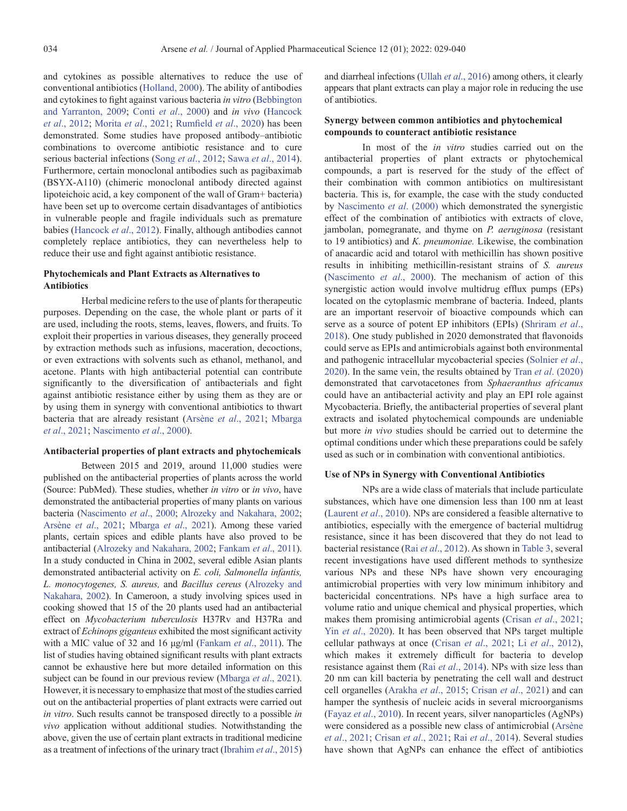and cytokines as possible alternatives to reduce the use of conventional antibiotics ([Holland, 2000](#page-9-0)). The ability of antibodies and cytokines to fight against various bacteria *in vitro* [\(Bebbington](#page-8-0) [and Yarranton, 2009](#page-8-0); Conti *et al*[., 2000](#page-9-0)) and *in vivo* ([Hancock](#page-9-0) *et al*[., 2012;](#page-9-0) [Morita](#page-10-0) *et al*., 2021; [Rumfield](#page-10-0) *et al*., 2020) has been demonstrated. Some studies have proposed antibody–antibiotic combinations to overcome antibiotic resistance and to cure serious bacterial infections (Song *et al*[., 2012](#page-11-0); Sawa *et al*[., 2014](#page-10-0)). Furthermore, certain monoclonal antibodies such as pagibaximab (BSYX-A110) (chimeric monoclonal antibody directed against lipoteichoic acid, a key component of the wall of Gram+ bacteria) have been set up to overcome certain disadvantages of antibiotics in vulnerable people and fragile individuals such as premature babies ([Hancock](#page-9-0) *et al*., 2012). Finally, although antibodies cannot completely replace antibiotics, they can nevertheless help to reduce their use and fight against antibiotic resistance.

# **Phytochemicals and Plant Extracts as Alternatives to Antibiotics**

Herbal medicine refers to the use of plants for therapeutic purposes. Depending on the case, the whole plant or parts of it are used, including the roots, stems, leaves, flowers, and fruits. To exploit their properties in various diseases, they generally proceed by extraction methods such as infusions, maceration, decoctions, or even extractions with solvents such as ethanol, methanol, and acetone. Plants with high antibacterial potential can contribute significantly to the diversification of antibacterials and fight against antibiotic resistance either by using them as they are or by using them in synergy with conventional antibiotics to thwart bacteria that are already resistant ([Arsène](#page-8-0) *et al*., 2021; [Mbarga](#page-10-0) *et al*[., 2021;](#page-10-0) [Nascimento](#page-10-0) *et al*., 2000).

## **Antibacterial properties of plant extracts and phytochemicals**

Between 2015 and 2019, around 11,000 studies were published on the antibacterial properties of plants across the world (Source: PubMed). These studies, whether *in vitro* or *in vivo*, have demonstrated the antibacterial properties of many plants on various bacteria ([Nascimento](#page-10-0) *et al*., 2000; [Alrozeky and Nakahara, 2002](#page-8-0); [Arsène](#page-8-0) *et al*., 2021; [Mbarga](#page-10-0) *et al*., 2021). Among these varied plants, certain spices and edible plants have also proved to be antibacterial ([Alrozeky and Nakahara, 2002](#page-8-0); [Fankam](#page-9-0) *et al*., 2011). In a study conducted in China in 2002, several edible Asian plants demonstrated antibacterial activity on *E. coli, Salmonella infantis, L. monocytogenes, S. aureus,* and *Bacillus cereus* ([Alrozeky and](#page-8-0) [Nakahara, 2002](#page-8-0)). In Cameroon, a study involving spices used in cooking showed that 15 of the 20 plants used had an antibacterial effect on *Mycobacterium tuberculosis* H37Rv and H37Ra and extract of *Echinops giganteus* exhibited the most significant activity with a MIC value of 32 and 16 μg/ml ([Fankam](#page-9-0) *et al*., 2011). The list of studies having obtained significant results with plant extracts cannot be exhaustive here but more detailed information on this subject can be found in our previous review [\(Mbarga](#page-10-0) *et al*., 2021). However, it is necessary to emphasize that most of the studies carried out on the antibacterial properties of plant extracts were carried out *in vitro*. Such results cannot be transposed directly to a possible *in vivo* application without additional studies. Notwithstanding the above, given the use of certain plant extracts in traditional medicine as a treatment of infections of the urinary tract ([Ibrahim](#page-9-0) *et al*., 2015) and diarrheal infections (Ullah *et al*[., 2016\)](#page-11-0) among others, it clearly appears that plant extracts can play a major role in reducing the use of antibiotics.

# **Synergy between common antibiotics and phytochemical compounds to counteract antibiotic resistance**

In most of the *in vitro* studies carried out on the antibacterial properties of plant extracts or phytochemical compounds, a part is reserved for the study of the effect of their combination with common antibiotics on multiresistant bacteria. This is, for example, the case with the study conducted by [Nascimento](#page-10-0) *et al*. (2000) which demonstrated the synergistic effect of the combination of antibiotics with extracts of clove, jambolan, pomegranate, and thyme on *P. aeruginosa* (resistant to 19 antibiotics) and *K. pneumoniae.* Likewise, the combination of anacardic acid and totarol with methicillin has shown positive results in inhibiting methicillin-resistant strains of *S. aureus* [\(Nascimento](#page-10-0) *et al*., 2000). The mechanism of action of this synergistic action would involve multidrug efflux pumps (EPs) located on the cytoplasmic membrane of bacteria. Indeed, plants are an important reservoir of bioactive compounds which can serve as a source of potent EP inhibitors (EPIs) ([Shriram](#page-10-0) *et al*., [2018](#page-10-0)). One study published in 2020 demonstrated that flavonoids could serve as EPIs and antimicrobials against both environmental and pathogenic intracellular mycobacterial species [\(Solnier](#page-11-0) *et al*., [2020](#page-11-0)). In the same vein, the results obtained by Tran *et al*[. \(2020\)](#page-11-0) demonstrated that carvotacetones from *Sphaeranthus africanus* could have an antibacterial activity and play an EPI role against Mycobacteria. Briefly, the antibacterial properties of several plant extracts and isolated phytochemical compounds are undeniable but more *in vivo* studies should be carried out to determine the optimal conditions under which these preparations could be safely used as such or in combination with conventional antibiotics.

#### **Use of NPs in Synergy with Conventional Antibiotics**

NPs are a wide class of materials that include particulate substances, which have one dimension less than 100 nm at least [\(Laurent](#page-9-0) *et al*., 2010). NPs are considered a feasible alternative to antibiotics, especially with the emergence of bacterial multidrug resistance, since it has been discovered that they do not lead to bacterial resistance (Rai *et al*[., 2012](#page-10-0)). As shown in [Table 3,](#page-6-0) several recent investigations have used different methods to synthesize various NPs and these NPs have shown very encouraging antimicrobial properties with very low minimum inhibitory and bactericidal concentrations. NPs have a high surface area to volume ratio and unique chemical and physical properties, which makes them promising antimicrobial agents [\(Crisan](#page-9-0) *et al*., 2021; Yin *et al*[., 2020\)](#page-11-0). It has been observed that NPs target multiple cellular pathways at once (Crisan *et al*[., 2021;](#page-9-0) Li *et al*[., 2012\)](#page-10-0), which makes it extremely difficult for bacteria to develop resistance against them (Rai *et al*[., 2014\)](#page-10-0). NPs with size less than 20 nm can kill bacteria by penetrating the cell wall and destruct cell organelles [\(Arakha](#page-8-0) *et al*., 2015; [Crisan](#page-9-0) *et al*., 2021) and can hamper the synthesis of nucleic acids in several microorganisms (Fayaz *et al*[., 2010\)](#page-9-0). In recent years, silver nanoparticles (AgNPs) were considered as a possible new class of antimicrobial [\(Arsène](#page-8-0)  *et al*[., 2021;](#page-8-0) [Crisan](#page-9-0) *et al*., 2021; Rai *et al*[., 2014](#page-10-0)). Several studies have shown that AgNPs can enhance the effect of antibiotics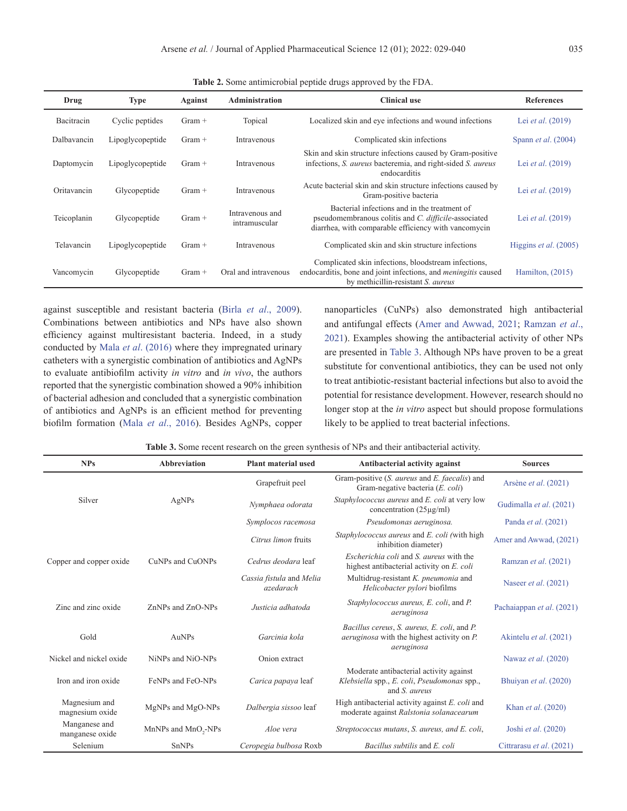<span id="page-6-0"></span>

| Drug        | <b>Type</b>      | Against  | <b>Administration</b>            | <b>Clinical use</b>                                                                                                                                                 | <b>References</b>            |
|-------------|------------------|----------|----------------------------------|---------------------------------------------------------------------------------------------------------------------------------------------------------------------|------------------------------|
| Bacitracin  | Cyclic peptides  | $Gram +$ | Topical                          | Localized skin and eye infections and wound infections                                                                                                              | Lei <i>et al.</i> (2019)     |
| Dalbavancin | Lipoglycopeptide | $Gram +$ | Intravenous                      | Complicated skin infections                                                                                                                                         | Spann <i>et al.</i> $(2004)$ |
| Daptomycin  | Lipoglycopeptide | $Gram +$ | Intravenous                      | Skin and skin structure infections caused by Gram-positive<br>infections, S. aureus bacteremia, and right-sided S. aureus<br>endocarditis                           | Lei <i>et al.</i> (2019)     |
| Oritavancin | Glycopeptide     | $Gram +$ | Intravenous                      | Acute bacterial skin and skin structure infections caused by<br>Gram-positive bacteria                                                                              | Lei <i>et al.</i> (2019)     |
| Teicoplanin | Glycopeptide     | $Gram +$ | Intravenous and<br>intramuscular | Bacterial infections and in the treatment of<br>pseudomembranous colitis and C. difficile-associated<br>diarrhea, with comparable efficiency with vancomycin        | Lei <i>et al.</i> (2019)     |
| Telavancin  | Lipoglycopeptide | $Gram +$ | Intravenous                      | Complicated skin and skin structure infections                                                                                                                      | Higgins et al. (2005)        |
| Vancomycin  | Glycopeptide     | $Gram +$ | Oral and intravenous             | Complicated skin infections, bloodstream infections,<br>endocarditis, bone and joint infections, and <i>meningitis</i> caused<br>by methicillin-resistant S. aureus | Hamilton, $(2015)$           |

**Table 2.** Some antimicrobial peptide drugs approved by the FDA.

against susceptible and resistant bacteria (Birla *et al*[., 2009](#page-8-0)). Combinations between antibiotics and NPs have also shown efficiency against multiresistant bacteria. Indeed, in a study conducted by Mala *et al*[. \(2016\)](#page-10-0) where they impregnated urinary catheters with a synergistic combination of antibiotics and AgNPs to evaluate antibiofilm activity *in vitro* and *in vivo*, the authors reported that the synergistic combination showed a 90% inhibition of bacterial adhesion and concluded that a synergistic combination of antibiotics and AgNPs is an efficient method for preventing biofilm formation (Mala *et al*[., 2016\)](#page-10-0). Besides AgNPs, copper nanoparticles (CuNPs) also demonstrated high antibacterial and antifungal effects [\(Amer and Awwad, 2021;](#page-8-0) [Ramzan](#page-10-0) *et al*., [2021](#page-10-0)). Examples showing the antibacterial activity of other NPs are presented in Table 3. Although NPs have proven to be a great substitute for conventional antibiotics, they can be used not only to treat antibiotic-resistant bacterial infections but also to avoid the potential for resistance development. However, research should no longer stop at the *in vitro* aspect but should propose formulations likely to be applied to treat bacterial infections.

**Table 3.** Some recent research on the green synthesis of NPs and their antibacterial activity.

| <b>NPs</b>                       | <b>Abbreviation</b>  | <b>Plant material used</b>            | Antibacterial activity against                                                                                 | <b>Sources</b>              |
|----------------------------------|----------------------|---------------------------------------|----------------------------------------------------------------------------------------------------------------|-----------------------------|
|                                  |                      | Grapefruit peel                       | Gram-positive (S. <i>aureus</i> and <i>E. faecalis</i> ) and<br>Gram-negative bacteria (E. coli)               | Arsène et al. (2021)        |
| Silver                           | AgNPs                | Nymphaea odorata                      | Staphylococcus aureus and E. coli at very low<br>concentration $(25\mu g/ml)$                                  | Gudimalla et al. (2021)     |
|                                  |                      | Symplocos racemosa                    | Pseudomonas aeruginosa.                                                                                        | Panda <i>et al.</i> (2021)  |
|                                  |                      | Citrus limon fruits                   | Staphylococcus aureus and E. coli (with high<br>inhibition diameter)                                           | Amer and Awwad, (2021)      |
| Copper and copper oxide          | CuNPs and CuONPs     | Cedrus deodara leaf                   | <i>Escherichia coli</i> and <i>S. aureus</i> with the<br>highest antibacterial activity on E. coli             | Ramzan et al. (2021)        |
|                                  |                      | Cassia fistula and Melia<br>azedarach | Multidrug-resistant K. pneumonia and<br>Helicobacter pylori biofilms                                           | Naseer <i>et al.</i> (2021) |
| Zinc and zinc oxide              | ZnNPs and ZnO-NPs    | Justicia adhatoda                     | Staphylococcus aureus, E. coli, and P.<br>aeruginosa                                                           | Pachaiappan et al. (2021)   |
| Gold                             | AuNPs                | Garcinia kola                         | Bacillus cereus, S. aureus, E. coli, and P.<br><i>aeruginosa</i> with the highest activity on P.<br>aeruginosa | Akintelu et al. (2021)      |
| Nickel and nickel oxide          | NiNPs and NiO-NPs    | Onion extract                         |                                                                                                                | Nawaz et al. (2020)         |
| Iron and iron oxide              | FeNPs and FeO-NPs    | Carica papaya leaf                    | Moderate antibacterial activity against<br>Klebsiella spp., E. coli, Pseudomonas spp.,<br>and <i>S. aureus</i> | Bhuiyan et al. (2020)       |
| Magnesium and<br>magnesium oxide | MgNPs and MgO-NPs    | Dalbergia sissoo leaf                 | High antibacterial activity against E. coli and<br>moderate against Ralstonia solanacearum                     | Khan et al. (2020)          |
| Manganese and<br>manganese oxide | MnNPs and $MnO2-NPs$ | Aloe vera                             | Streptococcus mutans, S. aureus, and E. coli,                                                                  | Joshi et al. (2020)         |
| Selenium                         | <b>SnNPs</b>         | Ceropegia bulbosa Roxb                | Bacillus subtilis and E. coli                                                                                  | Cittrarasu et al. (2021)    |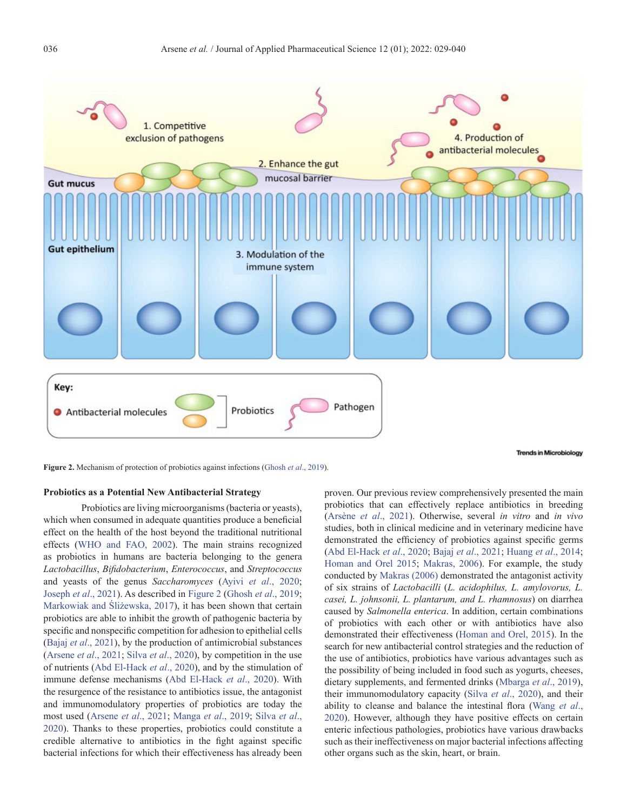

**Trends in Microbiology** 

**Figure 2.** Mechanism of protection of probiotics against infections [\(Ghosh](#page-9-0) *et al*., 2019).

# **Probiotics as a Potential New Antibacterial Strategy**

Probiotics are living microorganisms (bacteria or yeasts), which when consumed in adequate quantities produce a beneficial effect on the health of the host beyond the traditional nutritional effects [\(WHO and FAO, 2002](#page-10-0)). The main strains recognized as probiotics in humans are bacteria belonging to the genera *Lactobacillus*, *Bifidobacterium*, *Enterococcus*, and *Streptococcus* and yeasts of the genus *Saccharomyces* (Ayivi *et al*[., 2020](#page-8-0); [Joseph](#page-9-0) *et al*., 2021). As described in Figure 2 ([Ghosh](#page-9-0) *et al*., 2019; [Markowiak and Śliżewska, 2017](#page-10-0)), it has been shown that certain probiotics are able to inhibit the growth of pathogenic bacteria by specific and nonspecific competition for adhesion to epithelial cells (Bajaj *et al*[., 2021\)](#page-8-0), by the production of antimicrobial substances ([Arsene](#page-8-0) *et al*., 2021; Silva *et al*[., 2020\)](#page-8-0), by competition in the use of nutrients ([Abd El-Hack](#page-8-0) *et al*., 2020), and by the stimulation of immune defense mechanisms [\(Abd El-Hack](#page-8-0) *et al*., 2020). With the resurgence of the resistance to antibiotics issue, the antagonist and immunomodulatory properties of probiotics are today the most used [\(Arsene](#page-8-0) *et al*., 2021; [Manga](#page-10-0) *et al*., 2019; [Silva](#page-8-0) *et al*., [2020\)](#page-8-0). Thanks to these properties, probiotics could constitute a credible alternative to antibiotics in the fight against specific bacterial infections for which their effectiveness has already been

proven. Our previous review comprehensively presented the main probiotics that can effectively replace antibiotics in breeding [\(Arsène](#page-8-0) *et al*., 2021). Otherwise, several *in vitro* and *in vivo* studies, both in clinical medicine and in veterinary medicine have demonstrated the efficiency of probiotics against specific germs [\(Abd El-Hack](#page-8-0) *et al*., 2020; Bajaj *et al*[., 2021;](#page-8-0) [Huang](#page-9-0) *et al*., 2014; [Homan and Orel 2015;](#page-9-0) [Makras, 2006\)](#page-10-0). For example, the study conducted by [Makras \(2006\)](#page-10-0) demonstrated the antagonist activity of six strains of *Lactobacilli* (*L. acidophilus, L. amylovorus, L. casei, L. johnsonii, L. plantarum, and L. rhamnosus*) on diarrhea caused by *Salmonella enterica*. In addition, certain combinations of probiotics with each other or with antibiotics have also demonstrated their effectiveness [\(Homan and Orel, 2015](#page-9-0)). In the search for new antibacterial control strategies and the reduction of the use of antibiotics, probiotics have various advantages such as the possibility of being included in food such as yogurts, cheeses, dietary supplements, and fermented drinks ([Mbarga](#page-10-0) *et al*., 2019), their immunomodulatory capacity (Silva *et al*[., 2020](#page-8-0)), and their ability to cleanse and balance the intestinal flora ([Wang](#page-11-0) *et al*., [2020](#page-11-0)). However, although they have positive effects on certain enteric infectious pathologies, probiotics have various drawbacks such as their ineffectiveness on major bacterial infections affecting other organs such as the skin, heart, or brain.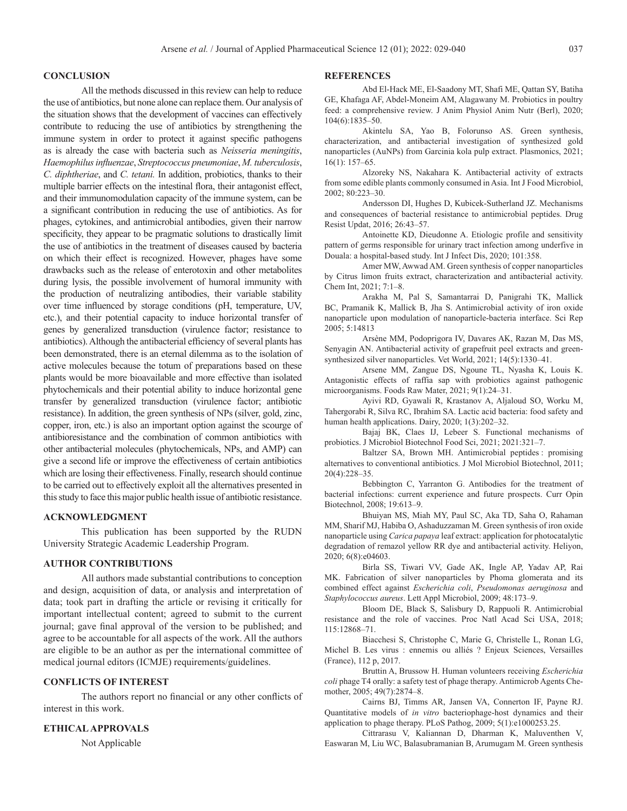# <span id="page-8-0"></span>**CONCLUSION**

All the methods discussed in this review can help to reduce the use of antibiotics, but none alone can replace them. Our analysis of the situation shows that the development of vaccines can effectively contribute to reducing the use of antibiotics by strengthening the immune system in order to protect it against specific pathogens as is already the case with bacteria such as *Neisseria meningitis*, *Haemophilus influenzae*, *Streptococcus pneumoniae*, *M. tuberculosis*, *C. diphtheriae*, and *C. tetani.* In addition, probiotics, thanks to their multiple barrier effects on the intestinal flora, their antagonist effect, and their immunomodulation capacity of the immune system, can be a significant contribution in reducing the use of antibiotics. As for phages, cytokines, and antimicrobial antibodies, given their narrow specificity, they appear to be pragmatic solutions to drastically limit the use of antibiotics in the treatment of diseases caused by bacteria on which their effect is recognized. However, phages have some drawbacks such as the release of enterotoxin and other metabolites during lysis, the possible involvement of humoral immunity with the production of neutralizing antibodies, their variable stability over time influenced by storage conditions (pH, temperature, UV, etc.), and their potential capacity to induce horizontal transfer of genes by generalized transduction (virulence factor; resistance to antibiotics). Although the antibacterial efficiency of several plants has been demonstrated, there is an eternal dilemma as to the isolation of active molecules because the totum of preparations based on these plants would be more bioavailable and more effective than isolated phytochemicals and their potential ability to induce horizontal gene transfer by generalized transduction (virulence factor; antibiotic resistance). In addition, the green synthesis of NPs (silver, gold, zinc, copper, iron, etc.) is also an important option against the scourge of antibioresistance and the combination of common antibiotics with other antibacterial molecules (phytochemicals, NPs, and AMP) can give a second life or improve the effectiveness of certain antibiotics which are losing their effectiveness. Finally, research should continue to be carried out to effectively exploit all the alternatives presented in this study to face this major public health issue of antibiotic resistance.

# **ACKNOWLEDGMENT**

This publication has been supported by the RUDN University Strategic Academic Leadership Program.

# **AUTHOR CONTRIBUTIONS**

All authors made substantial contributions to conception and design, acquisition of data, or analysis and interpretation of data; took part in drafting the article or revising it critically for important intellectual content; agreed to submit to the current journal; gave final approval of the version to be published; and agree to be accountable for all aspects of the work. All the authors are eligible to be an author as per the international committee of medical journal editors (ICMJE) requirements/guidelines.

# **CONFLICTS OF INTEREST**

The authors report no financial or any other conflicts of interest in this work.

# **ETHICAL APPROVALS**

Not Applicable

### **REFERENCES**

Abd El-Hack ME, El-Saadony MT, Shafi ME, Qattan SY, Batiha GE, Khafaga AF, Abdel-Moneim AM, Alagawany M. Probiotics in poultry feed: a comprehensive review. J Anim Physiol Anim Nutr (Berl), 2020; 104(6):1835–50.

Akintelu SA, Yao B, Folorunso AS. Green synthesis, characterization, and antibacterial investigation of synthesized gold nanoparticles (AuNPs) from Garcinia kola pulp extract. Plasmonics, 2021; 16(1): 157–65.

Alzoreky NS, Nakahara K. Antibacterial activity of extracts from some edible plants commonly consumed in Asia. Int J Food Microbiol, 2002; 80:223–30.

Andersson DI, Hughes D, Kubicek-Sutherland JZ. Mechanisms and consequences of bacterial resistance to antimicrobial peptides. Drug Resist Updat, 2016; 26:43–57.

Antoinette KD, Dieudonne A. Etiologic profile and sensitivity pattern of germs responsible for urinary tract infection among underfive in Douala: a hospital-based study. Int J Infect Dis, 2020; 101:358.

Amer MW, Awwad AM. Green synthesis of copper nanoparticles by Citrus limon fruits extract, characterization and antibacterial activity. Chem Int, 2021; 7:1–8.

Arakha M, Pal S, Samantarrai D, Panigrahi TK, Mallick BC, Pramanik K, Mallick B, Jha S. Antimicrobial activity of iron oxide nanoparticle upon modulation of nanoparticle-bacteria interface. Sci Rep 2005; 5:14813

Arsène MM, Podoprigora IV, Davares AK, Razan M, Das MS, Senyagin AN. Antibacterial activity of grapefruit peel extracts and greensynthesized silver nanoparticles. Vet World, 2021; 14(5):1330–41.

Arsene MM, Zangue DS, Ngoune TL, Nyasha K, Louis K. Antagonistic effects of raffia sap with probiotics against pathogenic microorganisms. Foods Raw Mater, 2021; 9(1):24–31.

Ayivi RD, Gyawali R, Krastanov A, Aljaloud SO, Worku M, Tahergorabi R, Silva RC, Ibrahim SA. Lactic acid bacteria: food safety and human health applications. Dairy, 2020; 1(3):202–32.

Bajaj BK, Claes IJ, Lebeer S. Functional mechanisms of probiotics. J Microbiol Biotechnol Food Sci, 2021; 2021:321–7.

Baltzer SA, Brown MH. Antimicrobial peptides : promising alternatives to conventional antibiotics. J Mol Microbiol Biotechnol, 2011; 20(4):228–35.

Bebbington C, Yarranton G. Antibodies for the treatment of bacterial infections: current experience and future prospects. Curr Opin Biotechnol, 2008; 19:613–9.

Bhuiyan MS, Miah MY, Paul SC, Aka TD, Saha O, Rahaman MM, Sharif MJ, Habiba O, Ashaduzzaman M. Green synthesis of iron oxide nanoparticle using *Carica papaya* leaf extract: application for photocatalytic degradation of remazol yellow RR dye and antibacterial activity. Heliyon, 2020; 6(8):e04603.

Birla SS, Tiwari VV, Gade AK, Ingle AP, Yadav AP, Rai MK. Fabrication of silver nanoparticles by Phoma glomerata and its combined effect against *Escherichia coli*, *Pseudomonas aeruginosa* and *Staphylococcus aureus*. Lett Appl Microbiol, 2009; 48:173–9.

Bloom DE, Black S, Salisbury D, Rappuoli R. Antimicrobial resistance and the role of vaccines. Proc Natl Acad Sci USA, 2018; 115:12868–71.

Biacchesi S, Christophe C, Marie G, Christelle L, Ronan LG, Michel B. Les virus : ennemis ou alliés ? Enjeux Sciences, Versailles (France), 112 p, 2017.

Bruttin A, Brussow H. Human volunteers receiving *Escherichia coli* phage T4 orally: a safety test of phage therapy. Antimicrob Agents Chemother, 2005; 49(7):2874–8.

Cairns BJ, Timms AR, Jansen VA, Connerton IF, Payne RJ. Quantitative models of *in vitro* bacteriophage-host dynamics and their application to phage therapy. PLoS Pathog, 2009; 5(1):e1000253.25.

Cittrarasu V, Kaliannan D, Dharman K, Maluventhen V, Easwaran M, Liu WC, Balasubramanian B, Arumugam M. Green synthesis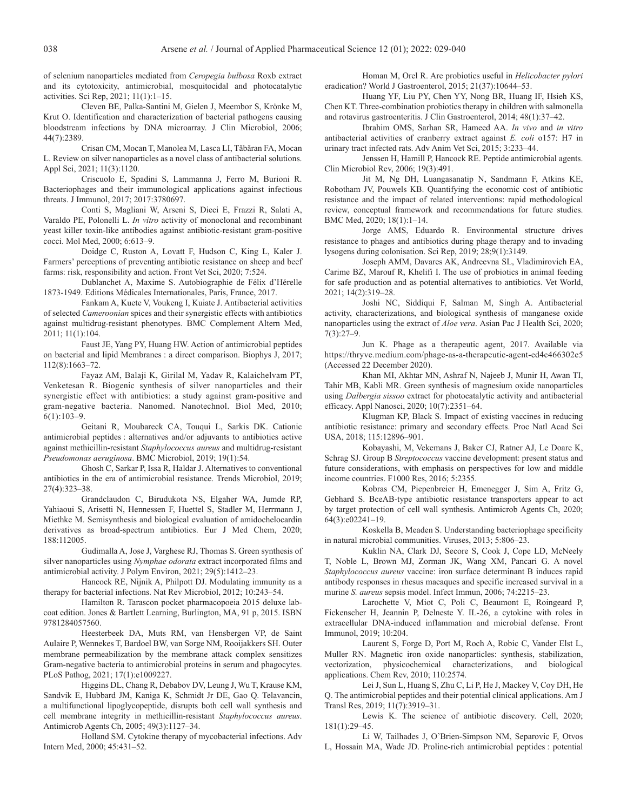<span id="page-9-0"></span>of selenium nanoparticles mediated from *Ceropegia bulbosa* Roxb extract and its cytotoxicity, antimicrobial, mosquitocidal and photocatalytic activities. Sci Rep, 2021; 11(1):1–15.

Cleven BE, Palka-Santini M, Gielen J, Meembor S, Krönke M, Krut O. Identification and characterization of bacterial pathogens causing bloodstream infections by DNA microarray. J Clin Microbiol, 2006; 44(7):2389.

Crisan CM, Mocan T, Manolea M, Lasca LI, Tăbăran FA, Mocan L. Review on silver nanoparticles as a novel class of antibacterial solutions. Appl Sci, 2021; 11(3):1120.

Criscuolo E, Spadini S, Lammanna J, Ferro M, Burioni R. Bacteriophages and their immunological applications against infectious threats. J Immunol, 2017; 2017:3780697.

Conti S, Magliani W, Arseni S, Dieci E, Frazzi R, Salati A, Varaldo PE, Polonelli L. *In vitro* activity of monoclonal and recombinant yeast killer toxin-like antibodies against antibiotic-resistant gram-positive cocci. Mol Med, 2000; 6:613–9.

Doidge C, Ruston A, Lovatt F, Hudson C, King L, Kaler J. Farmers' perceptions of preventing antibiotic resistance on sheep and beef farms: risk, responsibility and action. Front Vet Sci, 2020; 7:524.

Dublanchet A, Maxime S. Autobiographie de Félix d'Hérelle 1873-1949. Editions Médicales Internationales, Paris, France, 2017.

Fankam A, Kuete V, Voukeng I, Kuiate J. Antibacterial activities of selected *Cameroonian* spices and their synergistic effects with antibiotics against multidrug-resistant phenotypes. BMC Complement Altern Med, 2011; 11(1):104.

Faust JE, Yang PY, Huang HW. Action of antimicrobial peptides on bacterial and lipid Membranes : a direct comparison. Biophys J, 2017; 112(8):1663–72.

Fayaz AM, Balaji K, Girilal M, Yadav R, Kalaichelvam PT, Venketesan R. Biogenic synthesis of silver nanoparticles and their synergistic effect with antibiotics: a study against gram-positive and gram-negative bacteria. Nanomed. Nanotechnol. Biol Med, 2010;  $6(1):103-9.$ 

Geitani R, Moubareck CA, Touqui L, Sarkis DK. Cationic antimicrobial peptides : alternatives and/or adjuvants to antibiotics active against methicillin-resistant *Staphylococcus aureus* and multidrug-resistant *Pseudomonas aeruginosa*. BMC Microbiol, 2019; 19(1):54.

Ghosh C, Sarkar P, Issa R, Haldar J. Alternatives to conventional antibiotics in the era of antimicrobial resistance. Trends Microbiol, 2019; 27(4):323–38.

Grandclaudon C, Birudukota NS, Elgaher WA, Jumde RP, Yahiaoui S, Arisetti N, Hennessen F, Huettel S, Stadler M, Herrmann J, Miethke M. Semisynthesis and biological evaluation of amidochelocardin derivatives as broad-spectrum antibiotics. Eur J Med Chem, 2020; 188:112005.

Gudimalla A, Jose J, Varghese RJ, Thomas S. Green synthesis of silver nanoparticles using *Nymphae odorata* extract incorporated films and antimicrobial activity. J Polym Environ, 2021; 29(5):1412–23.

Hancock RE, Nijnik A, Philpott DJ. Modulating immunity as a therapy for bacterial infections. Nat Rev Microbiol, 2012; 10:243–54.

Hamilton R. Tarascon pocket pharmacopoeia 2015 deluxe labcoat edition. Jones & Bartlett Learning, Burlington, MA, 91 p, 2015. ISBN 9781284057560.

Heesterbeek DA, Muts RM, van Hensbergen VP, de Saint Aulaire P, Wennekes T, Bardoel BW, van Sorge NM, Rooijakkers SH. Outer membrane permeabilization by the membrane attack complex sensitizes Gram-negative bacteria to antimicrobial proteins in serum and phagocytes. PLoS Pathog, 2021; 17(1):e1009227.

Higgins DL, Chang R, Debabov DV, Leung J, Wu T, Krause KM, Sandvik E, Hubbard JM, Kaniga K, Schmidt Jr DE, Gao Q. Telavancin, a multifunctional lipoglycopeptide, disrupts both cell wall synthesis and cell membrane integrity in methicillin-resistant *Staphylococcus aureus*. Antimicrob Agents Ch, 2005; 49(3):1127–34.

Holland SM. Cytokine therapy of mycobacterial infections. Adv Intern Med, 2000; 45:431–52.

Homan M, Orel R. Are probiotics useful in *Helicobacter pylori* eradication? World J Gastroenterol, 2015; 21(37):10644–53.

Huang YF, Liu PY, Chen YY, Nong BR, Huang IF, Hsieh KS, Chen KT. Three-combination probiotics therapy in children with salmonella and rotavirus gastroenteritis. J Clin Gastroenterol, 2014; 48(1):37–42.

Ibrahim OMS, Sarhan SR, Hameed AA. *In vivo* and *in vitro* antibacterial activities of cranberry extract against *E. coli* o157: H7 in urinary tract infected rats. Adv Anim Vet Sci, 2015; 3:233–44.

Jenssen H, Hamill P, Hancock RE. Peptide antimicrobial agents. Clin Microbiol Rev, 2006; 19(3):491.

Jit M, Ng DH, Luangasanatip N, Sandmann F, Atkins KE, Robotham JV, Pouwels KB. Quantifying the economic cost of antibiotic resistance and the impact of related interventions: rapid methodological review, conceptual framework and recommendations for future studies. BMC Med, 2020; 18(1):1–14.

Jorge AMS, Eduardo R. Environmental structure drives resistance to phages and antibiotics during phage therapy and to invading lysogens during colonisation. Sci Rep, 2019; 28;9(1):3149.

Joseph AMM, Davares AK, Andreevna SL, Vladimirovich EA, Carime BZ, Marouf R, Khelifi I. The use of probiotics in animal feeding for safe production and as potential alternatives to antibiotics. Vet World, 2021; 14(2):319–28.

Joshi NC, Siddiqui F, Salman M, Singh A. Antibacterial activity, characterizations, and biological synthesis of manganese oxide nanoparticles using the extract of *Aloe vera*. Asian Pac J Health Sci, 2020; 7(3):27–9.

Jun K. Phage as a therapeutic agent, 2017. Available via https://thryve.medium.com/phage-as-a-therapeutic-agent-ed4c466302e5 (Accessed 22 December 2020).

Khan MI, Akhtar MN, Ashraf N, Najeeb J, Munir H, Awan TI, Tahir MB, Kabli MR. Green synthesis of magnesium oxide nanoparticles using *Dalbergia sissoo* extract for photocatalytic activity and antibacterial efficacy. Appl Nanosci, 2020; 10(7):2351–64.

Klugman KP, Black S. Impact of existing vaccines in reducing antibiotic resistance: primary and secondary effects. Proc Natl Acad Sci USA, 2018; 115:12896–901.

Kobayashi, M, Vekemans J, Baker CJ, Ratner AJ, Le Doare K, Schrag SJ. Group B *Streptococcus* vaccine development: present status and future considerations, with emphasis on perspectives for low and middle income countries. F1000 Res, 2016; 5:2355.

Kobras CM, Piepenbreier H, Emenegger J, Sim A, Fritz G, Gebhard S. BceAB-type antibiotic resistance transporters appear to act by target protection of cell wall synthesis. Antimicrob Agents Ch, 2020; 64(3):e02241–19.

Koskella B, Meaden S. Understanding bacteriophage specificity in natural microbial communities. Viruses, 2013; 5:806–23.

Kuklin NA, Clark DJ, Secore S, Cook J, Cope LD, McNeely T, Noble L, Brown MJ, Zorman JK, Wang XM, Pancari G. A novel *Staphylococcus aureus* vaccine: iron surface determinant B induces rapid antibody responses in rhesus macaques and specific increased survival in a murine *S. aureus* sepsis model. Infect Immun, 2006; 74:2215–23.

Larochette V, Miot C, Poli C, Beaumont E, Roingeard P, Fickenscher H, Jeannin P, Delneste Y. IL-26, a cytokine with roles in extracellular DNA-induced inflammation and microbial defense. Front Immunol, 2019; 10:204.

Laurent S, Forge D, Port M, Roch A, Robic C, Vander Elst L, Muller RN. Magnetic iron oxide nanoparticles: synthesis, stabilization, vectorization, physicochemical characterizations, and biological applications. Chem Rev, 2010; 110:2574.

Lei J, Sun L, Huang S, Zhu C, Li P, He J, Mackey V, Coy DH, He Q. The antimicrobial peptides and their potential clinical applications. Am J Transl Res, 2019; 11(7):3919–31.

Lewis K. The science of antibiotic discovery. Cell, 2020; 181(1):29–45.

Li W, Tailhades J, O'Brien-Simpson NM, Separovic F, Otvos L, Hossain MA, Wade JD. Proline-rich antimicrobial peptides : potential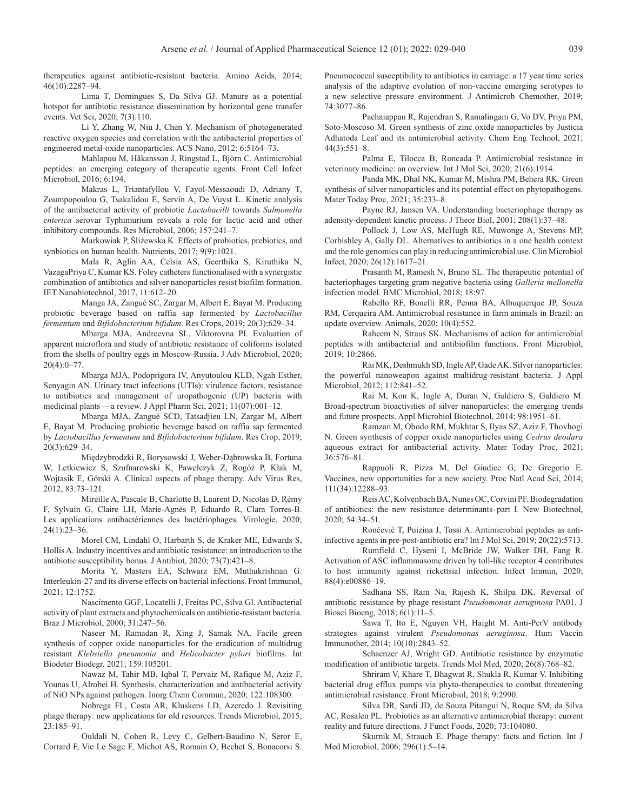<span id="page-10-0"></span>therapeutics against antibiotic-resistant bacteria. Amino Acids, 2014; 46(10):2287–94.

Lima T, Domingues S, Da Silva GJ. Manure as a potential hotspot for antibiotic resistance dissemination by horizontal gene transfer events. Vet Sci, 2020; 7(3):110.

Li Y, Zhang W, Niu J, Chen Y. Mechanism of photogenerated reactive oxygen species and correlation with the antibacterial properties of engineered metal-oxide nanoparticles. ACS Nano, 2012; 6:5164–73.

Mahlapuu M, Håkansson J, Ringstad L, Björn C. Antimicrobial peptides: an emerging category of therapeutic agents. Front Cell Infect Microbiol, 2016; 6:194.

Makras L, Triantafyllou V, Fayol-Messaoudi D, Adriany T, Zoumpopoulou G, Tsakalidou E, Servin A, De Vuyst L. Kinetic analysis of the antibacterial activity of probiotic *Lactobacilli* towards *Salmonella enterica* serovar Typhimurium reveals a role for lactic acid and other inhibitory compounds. Res Microbiol, 2006; 157:241–7.

Markowiak P, Śliżewska K. Effects of probiotics, prebiotics, and synbiotics on human health. Nutrients, 2017; 9(9):1021.

Mala R, Aglin AA, Celsia AS, Geerthika S, Kiruthika N, VazagaPriya C, Kumar KS. Foley catheters functionalised with a synergistic combination of antibiotics and silver nanoparticles resist biofilm formation. IET Nanobiotechnol, 2017, 11:612–20.

Manga JA, Zangué SC, Zargar M, Albert E, Bayat M. Producing probiotic beverage based on raffia sap fermented by *Lactobacillus fermentum* and *Bifidobacterium bifidum*. Res Crops, 2019; 20(3):629–34.

Mbarga MJA, Andreevna SL, Viktorovna PI. Evaluation of apparent microflora and study of antibiotic resistance of coliforms isolated from the shells of poultry eggs in Moscow-Russia. J Adv Microbiol, 2020; 20(4):0–77.

Mbarga MJA, Podoprigora IV, Anyutoulou KLD, Ngah Esther, Senyagin AN. Urinary tract infections (UTIs): virulence factors, resistance to antibiotics and management of uropathogenic (UP) bacteria with medicinal plants —a review. J Appl Pharm Sci, 2021; 11(07):001–12.

Mbarga MJA, Zangué SCD, Tatsadjieu LN, Zargar M, Albert E, Bayat M. Producing probiotic beverage based on raffia sap fermented by *Lactobacillus fermentum* and *Bifidobacterium bifidum*. Res Crop, 2019; 20(3):629–34.

Międzybrodzki R, Borysowski J, Weber-Dąbrowska B, Fortuna W, Letkiewicz S, Szufnarowski K, Pawełczyk Z, Rogóż P, Kłak M, Wojtasik E, Górski A. Clinical aspects of phage therapy. Adv Virus Res, 2012; 83:73–121.

Mireille A, Pascale B, Charlotte B, Laurent D, Nicolas D, Rémy F, Sylvain G, Claire LH, Marie-Agnès P, Eduardo R, Clara Torres-B. Les applications antibactériennes des bactériophages. Virologie, 2020; 24(1):23–36.

Morel CM, Lindahl O, Harbarth S, de Kraker ME, Edwards S, Hollis A. Industry incentives and antibiotic resistance: an introduction to the antibiotic susceptibility bonus. J Antibiot, 2020; 73(7):421–8.

Morita Y, Masters EA, Schwarz EM, Muthukrishnan G. Interleukin-27 and its diverse effects on bacterial infections. Front Immunol, 2021; 12:1752.

Nascimento GGF, Locatelli J, Freitas PC, Silva Gl. Antibacterial activity of plant extracts and phytochemicals on antibiotic-resistant bacteria. Braz J Microbiol, 2000; 31:247–56.

Naseer M, Ramadan R, Xing J, Samak NA. Facile green synthesis of copper oxide nanoparticles for the eradication of multidrug resistant *Klebsiella pneumonia* and *Helicobacter pylori* biofilms. Int Biodeter Biodegr, 2021; 159:105201.

Nawaz M, Tahir MB, Iqbal T, Pervaiz M, Rafique M, Aziz F, Younas U, Alrobei H. Synthesis, characterization and antibacterial activity of NiO NPs against pathogen. Inorg Chem Commun, 2020; 122:108300.

Nobrega FL, Costa AR, Kluskens LD, Azeredo J. Revisiting phage therapy: new applications for old resources. Trends Microbiol, 2015; 23:185–91.

Ouldali N, Cohen R, Levy C, Gelbert-Baudino N, Seror E, Corrard F, Vie Le Sage F, Michot AS, Romain O, Bechet S, Bonacorsi S.

Pneumococcal susceptibility to antibiotics in carriage: a 17 year time series analysis of the adaptive evolution of non-vaccine emerging serotypes to a new selective pressure environment. J Antimicrob Chemother, 2019; 74:3077–86.

Pachaiappan R, Rajendran S, Ramalingam G, Vo DV, Priya PM, Soto-Moscoso M. Green synthesis of zinc oxide nanoparticles by Justicia Adhatoda Leaf and its antimicrobial activity. Chem Eng Technol, 2021; 44(3):551–8.

Palma E, Tilocca B, Roncada P. Antimicrobial resistance in veterinary medicine: an overview. Int J Mol Sci, 2020; 21(6):1914.

Panda MK, Dhal NK, Kumar M, Mishra PM, Behera RK. Green synthesis of silver nanoparticles and its potential effect on phytopathogens. Mater Today Proc, 2021; 35:233–8.

Payne RJ, Jansen VA. Understanding bacteriophage therapy as adensity-dependent kinetic process. J Theor Biol, 2001; 208(1):37–48.

Pollock J, Low AS, McHugh RE, Muwonge A, Stevens MP, Corbishley A, Gally DL. Alternatives to antibiotics in a one health context and the role genomics can play in reducing antimicrobial use. Clin Microbiol Infect, 2020; 26(12):1617–21.

Prasanth M, Ramesh N, Bruno SL. The therapeutic potential of bacteriophages targeting gram-negative bacteria using *Galleria mellonella* infection model. BMC Microbiol, 2018; 18:97.

Rabello RF, Bonelli RR, Penna BA, Albuquerque JP, Souza RM, Cerqueira AM. Antimicrobial resistance in farm animals in Brazil: an update overview. Animals, 2020; 10(4):552.

Raheem N, Straus SK. Mechanisms of action for antimicrobial peptides with antibacterial and antibiofilm functions. Front Microbiol, 2019; 10:2866.

Rai MK, Deshmukh SD, Ingle AP, Gade AK. Silver nanoparticles: the powerful nanoweapon against multidrug-resistant bacteria. J Appl Microbiol, 2012; 112:841–52.

Rai M, Kon K, Ingle A, Duran N, Galdiero S, Galdiero M. Broad-spectrum bioactivities of silver nanoparticles: the emerging trends and future prospects. Appl Microbiol Biotechnol, 2014; 98:1951–61.

Ramzan M, Obodo RM, Mukhtar S, Ilyas SZ, Aziz F, Thovhogi N. Green synthesis of copper oxide nanoparticles using *Cedrus deodara* aqueous extract for antibacterial activity. Mater Today Proc, 2021; 36:576–81.

Rappuoli R, Pizza M, Del Giudice G, De Gregorio E. Vaccines, new opportunities for a new society. Proc Natl Acad Sci, 2014; 111(34):12288–93.

Reis AC, Kolvenbach BA, Nunes OC, Corvini PF. Biodegradation of antibiotics: the new resistance determinants–part I. New Biotechnol, 2020; 54:34–51.

Rončević T, Puizina J, Tossi A. Antimicrobial peptides as antiinfective agents in pre-post-antibiotic era? Int J Mol Sci, 2019; 20(22):5713.

Rumfield C, Hyseni I, McBride JW, Walker DH, Fang R. Activation of ASC inflammasome driven by toll-like receptor 4 contributes to host immunity against rickettsial infection. Infect Immun, 2020; 88(4):e00886–19.

Sadhana SS, Ram Na, Rajesh K, Shilpa DK. Reversal of antibiotic resistance by phage resistant *Pseudomonas aeruginosa* PA01. J Biosci Bioeng, 2018; 6(1):11–5.

Sawa T, Ito E, Nguyen VH, Haight M. Anti-PcrV antibody strategies against virulent *Pseudomonas aeruginosa*. Hum Vaccin Immunother, 2014; 10(10):2843–52.

Schaenzer AJ, Wright GD. Antibiotic resistance by enzymatic modification of antibiotic targets. Trends Mol Med, 2020; 26(8):768–82.

Shriram V, Khare T, Bhagwat R, Shukla R, Kumar V. Inhibiting bacterial drug efflux pumps via phyto-therapeutics to combat threatening antimicrobial resistance. Front Microbiol, 2018; 9:2990.

Silva DR, Sardi JD, de Souza Pitangui N, Roque SM, da Silva AC, Rosalen PL. Probiotics as an alternative antimicrobial therapy: current reality and future directions. J Funct Foods, 2020; 73:104080.

Skurnik M, Strauch E. Phage therapy: facts and fiction. Int J Med Microbiol, 2006; 296(1):5–14.